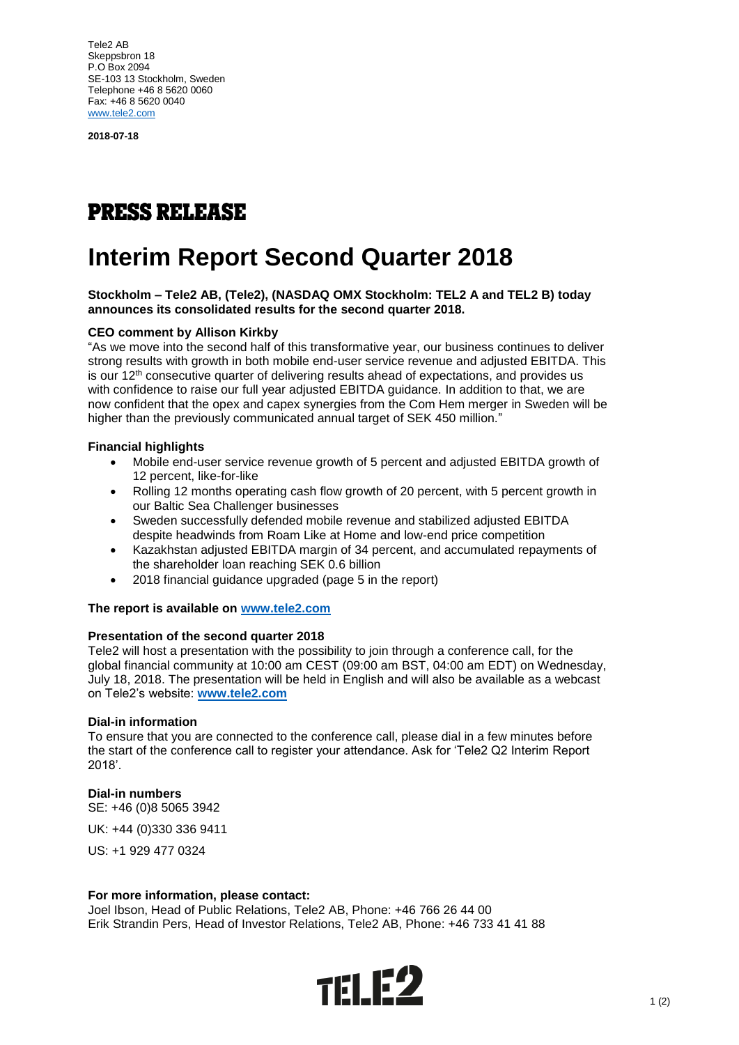Tele2 AB Skeppsbron 18 P.O Box 2094 SE-103 13 Stockholm, Sweden Telephone +46 8 5620 0060 Fax: +46 8 5620 0040 [www.tele2.com](http://www.tele2.com/)

**2018-07-18**

## **PRESS RELEASE**

# **Interim Report Second Quarter 2018**

#### **Stockholm – Tele2 AB, (Tele2), (NASDAQ OMX Stockholm: TEL2 A and TEL2 B) today announces its consolidated results for the second quarter 2018.**

## **CEO comment by Allison Kirkby**

"As we move into the second half of this transformative year, our business continues to deliver strong results with growth in both mobile end-user service revenue and adjusted EBITDA. This is our 12th consecutive quarter of delivering results ahead of expectations, and provides us with confidence to raise our full year adjusted EBITDA guidance. In addition to that, we are now confident that the opex and capex synergies from the Com Hem merger in Sweden will be higher than the previously communicated annual target of SEK 450 million."

## **Financial highlights**

- Mobile end-user service revenue growth of 5 percent and adjusted EBITDA growth of 12 percent, like-for-like
- Rolling 12 months operating cash flow growth of 20 percent, with 5 percent growth in our Baltic Sea Challenger businesses
- Sweden successfully defended mobile revenue and stabilized adjusted EBITDA despite headwinds from Roam Like at Home and low-end price competition
- Kazakhstan adjusted EBITDA margin of 34 percent, and accumulated repayments of the shareholder loan reaching SEK 0.6 billion
- 2018 financial guidance upgraded (page 5 in the report)

## **The report is available on [www.tele2.com](http://www.tele2.com/)**

#### **Presentation of the second quarter 2018**

Tele2 will host a presentation with the possibility to join through a conference call, for the global financial community at 10:00 am CEST (09:00 am BST, 04:00 am EDT) on Wednesday, July 18, 2018. The presentation will be held in English and will also be available as a webcast on Tele2's website: **[www.tele2.com](http://www.tele2.com/)**

#### **Dial-in information**

To ensure that you are connected to the conference call, please dial in a few minutes before the start of the conference call to register your attendance. Ask for 'Tele2 Q2 Interim Report 2018'.

#### **Dial-in numbers**

SE: +46 (0)8 5065 3942

UK: +44 (0)330 336 9411

US: +1 929 477 0324

#### **For more information, please contact:**

Joel Ibson, Head of Public Relations, Tele2 AB, Phone: +46 766 26 44 00 Erik Strandin Pers, Head of Investor Relations, Tele2 AB, Phone: +46 733 41 41 88